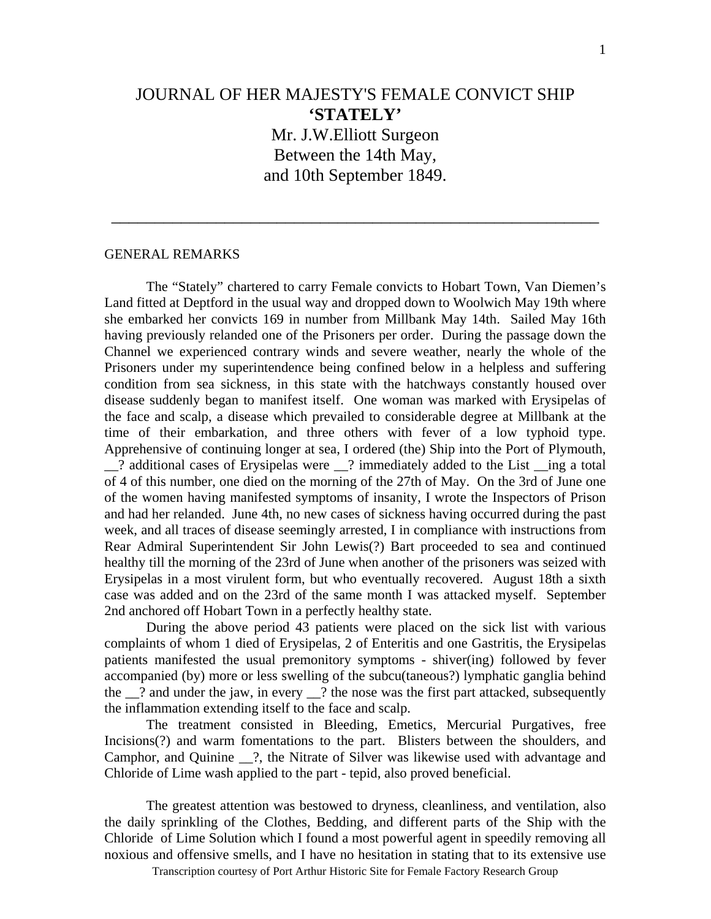## JOURNAL OF HER MAJESTY'S FEMALE CONVICT SHIP **'STATELY'**  Mr. J.W.Elliott Surgeon

Between the 14th May, and 10th September 1849.

\_\_\_\_\_\_\_\_\_\_\_\_\_\_\_\_\_\_\_\_\_\_\_\_\_\_\_\_\_\_\_\_\_\_\_\_\_\_\_\_\_\_\_\_\_\_\_\_\_\_\_\_\_\_\_\_

## GENERAL REMARKS

 The "Stately" chartered to carry Female convicts to Hobart Town, Van Diemen's Land fitted at Deptford in the usual way and dropped down to Woolwich May 19th where she embarked her convicts 169 in number from Millbank May 14th. Sailed May 16th having previously relanded one of the Prisoners per order. During the passage down the Channel we experienced contrary winds and severe weather, nearly the whole of the Prisoners under my superintendence being confined below in a helpless and suffering condition from sea sickness, in this state with the hatchways constantly housed over disease suddenly began to manifest itself. One woman was marked with Erysipelas of the face and scalp, a disease which prevailed to considerable degree at Millbank at the time of their embarkation, and three others with fever of a low typhoid type. Apprehensive of continuing longer at sea, I ordered (the) Ship into the Port of Plymouth, \_\_? additional cases of Erysipelas were \_\_? immediately added to the List \_\_ing a total of 4 of this number, one died on the morning of the 27th of May. On the 3rd of June one of the women having manifested symptoms of insanity, I wrote the Inspectors of Prison and had her relanded. June 4th, no new cases of sickness having occurred during the past week, and all traces of disease seemingly arrested, I in compliance with instructions from Rear Admiral Superintendent Sir John Lewis(?) Bart proceeded to sea and continued healthy till the morning of the 23rd of June when another of the prisoners was seized with Erysipelas in a most virulent form, but who eventually recovered. August 18th a sixth case was added and on the 23rd of the same month I was attacked myself. September 2nd anchored off Hobart Town in a perfectly healthy state.

 During the above period 43 patients were placed on the sick list with various complaints of whom 1 died of Erysipelas, 2 of Enteritis and one Gastritis, the Erysipelas patients manifested the usual premonitory symptoms - shiver(ing) followed by fever accompanied (by) more or less swelling of the subcu(taneous?) lymphatic ganglia behind the  $\frac{1}{2}$  and under the jaw, in every  $\frac{1}{2}$  the nose was the first part attacked, subsequently the inflammation extending itself to the face and scalp.

 The treatment consisted in Bleeding, Emetics, Mercurial Purgatives, free Incisions(?) and warm fomentations to the part. Blisters between the shoulders, and Camphor, and Quinine \_\_?, the Nitrate of Silver was likewise used with advantage and Chloride of Lime wash applied to the part - tepid, also proved beneficial.

 The greatest attention was bestowed to dryness, cleanliness, and ventilation, also the daily sprinkling of the Clothes, Bedding, and different parts of the Ship with the Chloride of Lime Solution which I found a most powerful agent in speedily removing all noxious and offensive smells, and I have no hesitation in stating that to its extensive use

Transcription courtesy of Port Arthur Historic Site for Female Factory Research Group